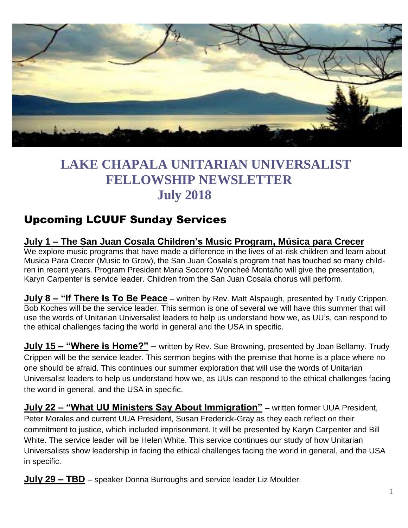

# **LAKE CHAPALA UNITARIAN UNIVERSALIST FELLOWSHIP NEWSLETTER July 2018**

## Upcoming LCUUF Sunday Services

## **July 1 – The San Juan Cosala Children's Music Program, Música para Crecer**

We explore music programs that have made a difference in the lives of at-risk children and learn about Musica Para Crecer (Music to Grow), the San Juan Cosala's program that has touched so many children in recent years. Program President Maria Socorro Woncheé Montaño will give the presentation, Karyn Carpenter is service leader. Children from the San Juan Cosala chorus will perform.

**July 8 – "If There Is To Be Peace** – written by Rev. Matt Alspaugh, presented by Trudy Crippen. Bob Koches will be the service leader. This sermon is one of several we will have this summer that will use the words of Unitarian Universalist leaders to help us understand how we, as UU's, can respond to the ethical challenges facing the world in general and the USA in specific.

**July 15 – "Where is Home?"** – written by Rev. Sue Browning, presented by Joan Bellamy. Trudy Crippen will be the service leader. This sermon begins with the premise that home is a place where no one should be afraid. This continues our summer exploration that will use the words of Unitarian Universalist leaders to help us understand how we, as UUs can respond to the ethical challenges facing the world in general, and the USA in specific.

**July 22 – "What UU Ministers Say About Immigration"** – written former UUA President, Peter Morales and current UUA President, Susan Frederick-Gray as they each reflect on their commitment to justice, which included imprisonment. It will be presented by Karyn Carpenter and Bill White. The service leader will be Helen White. This service continues our study of how Unitarian Universalists show leadership in facing the ethical challenges facing the world in general, and the USA in specific.

**July 29 – TBD** – speaker Donna Burroughs and service leader Liz Moulder.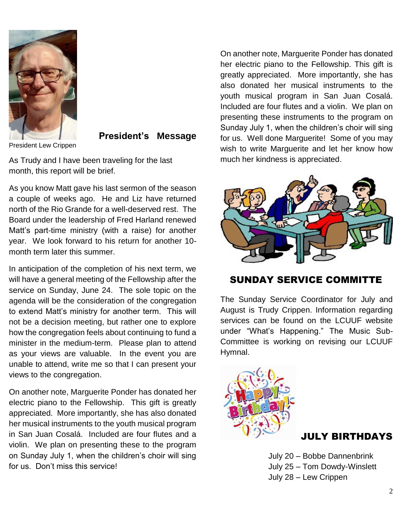

**President's Message**

As Trudy and I have been traveling for the last month, this report will be brief.

As you know Matt gave his last sermon of the season a couple of weeks ago. He and Liz have returned north of the Rio Grande for a well-deserved rest. The Board under the leadership of Fred Harland renewed Matt's part-time ministry (with a raise) for another year. We look forward to his return for another 10 month term later this summer.

In anticipation of the completion of his next term, we will have a general meeting of the Fellowship after the service on Sunday, June 24. The sole topic on the agenda will be the consideration of the congregation to extend Matt's ministry for another term. This will not be a decision meeting, but rather one to explore how the congregation feels about continuing to fund a minister in the medium-term. Please plan to attend as your views are valuable. In the event you are unable to attend, write me so that I can present your views to the congregation.

On another note, Marguerite Ponder has donated her electric piano to the Fellowship. This gift is greatly appreciated. More importantly, she has also donated her musical instruments to the youth musical program in San Juan Cosalá. Included are four flutes and a violin. We plan on presenting these to the program on Sunday July 1, when the children's choir will sing for us. Don't miss this service!

On another note, Marguerite Ponder has donated her electric piano to the Fellowship. This gift is greatly appreciated. More importantly, she has also donated her musical instruments to the youth musical program in San Juan Cosalá. Included are four flutes and a violin. We plan on presenting these instruments to the program on Sunday July 1, when the children's choir will sing for us. Well done Marguerite! Some of you may wish to write Marguerite and let her know how much her kindness is appreciated.



#### SUNDAY SERVICE COMMITTE

The Sunday Service Coordinator for July and August is Trudy Crippen. Information regarding services can be found on the LCUUF website under "What's Happening." The Music Sub-Committee is working on revising our LCUUF Hymnal.



## JULY BIRTHDAYS

July 20 – Bobbe Dannenbrink July 25 – Tom Dowdy-Winslett July 28 – Lew Crippen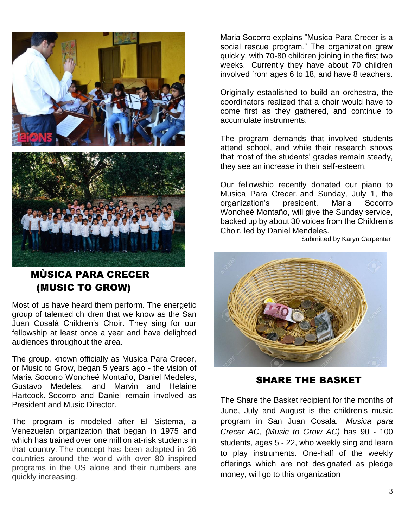

### MÙSICA PARA CRECER (MUSIC TO GROW)

Most of us have heard them perform. The energetic group of talented children that we know as the San Juan Cosalá Children's Choir. They sing for our fellowship at least once a year and have delighted audiences throughout the area.

The group, known officially as Musica Para Crecer, or Music to Grow, began 5 years ago - the vision of Maria Socorro Woncheé Montaño, Daniel Medeles, Gustavo Medeles, and Marvin and Helaine Hartcock. Socorro and Daniel remain involved as President and Music Director.

The program is modeled after El Sistema, a Venezuelan organization that began in 1975 and which has trained over one million at-risk students in that country. The concept has been adapted in 26 countries around the world with over 80 inspired programs in the US alone and their numbers are quickly increasing.

Maria Socorro explains "Musica Para Crecer is a social rescue program." The organization grew quickly, with 70-80 children joining in the first two weeks. Currently they have about 70 children involved from ages 6 to 18, and have 8 teachers.

Originally established to build an orchestra, the coordinators realized that a choir would have to come first as they gathered, and continue to accumulate instruments.

The program demands that involved students attend school, and while their research shows that most of the students' grades remain steady, they see an increase in their self-esteem.

Our fellowship recently donated our piano to Musica Para Crecer, and Sunday, July 1, the organization's president, Maria Socorro Woncheé Montaño, will give the Sunday service, backed up by about 30 voices from the Children's Choir, led by Daniel Mendeles.

Submitted by Karyn Carpenter



SHARE THE BASKET

The Share the Basket recipient for the months of June, July and August is the children's music program in San Juan Cosala. *Musica para Crecer AC, (Music to Grow AC)* has 90 - 100 students, ages 5 - 22, who weekly sing and learn to play instruments. One-half of the weekly offerings which are not designated as pledge money, will go to this organization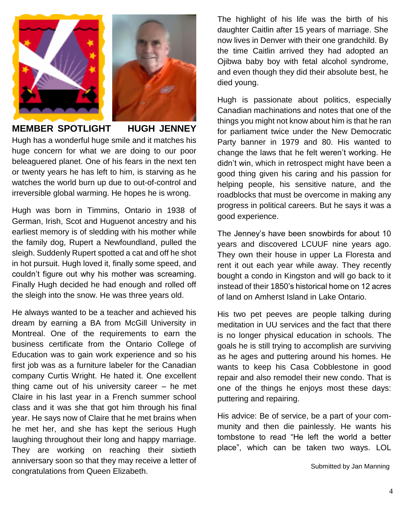

**MEMBER SPOTLIGHT HUGH JENNEY** Hugh has a wonderful huge smile and it matches his huge concern for what we are doing to our poor beleaguered planet. One of his fears in the next ten or twenty years he has left to him, is starving as he watches the world burn up due to out-of-control and irreversible global warming. He hopes he is wrong.

Hugh was born in Timmins, Ontario in 1938 of German, Irish, Scot and Huguenot ancestry and his earliest memory is of sledding with his mother while the family dog, Rupert a Newfoundland, pulled the sleigh. Suddenly Rupert spotted a cat and off he shot in hot pursuit. Hugh loved it, finally some speed, and couldn't figure out why his mother was screaming. Finally Hugh decided he had enough and rolled off the sleigh into the snow. He was three years old.

He always wanted to be a teacher and achieved his dream by earning a BA from McGill University in Montreal. One of the requirements to earn the business certificate from the Ontario College of Education was to gain work experience and so his first job was as a furniture labeler for the Canadian company Curtis Wright. He hated it. One excellent thing came out of his university career – he met Claire in his last year in a French summer school class and it was she that got him through his final year. He says now of Claire that he met brains when he met her, and she has kept the serious Hugh laughing throughout their long and happy marriage. They are working on reaching their sixtieth anniversary soon so that they may receive a letter of congratulations from Queen Elizabeth.

The highlight of his life was the birth of his daughter Caitlin after 15 years of marriage. She now lives in Denver with their one grandchild. By the time Caitlin arrived they had adopted an Ojibwa baby boy with fetal alcohol syndrome, and even though they did their absolute best, he died young.

Hugh is passionate about politics, especially Canadian machinations and notes that one of the things you might not know about him is that he ran for parliament twice under the New Democratic Party banner in 1979 and 80. His wanted to change the laws that he felt weren't working. He didn't win, which in retrospect might have been a good thing given his caring and his passion for helping people, his sensitive nature, and the roadblocks that must be overcome in making any progress in political careers. But he says it was a good experience.

The Jenney's have been snowbirds for about 10 years and discovered LCUUF nine years ago. They own their house in upper La Floresta and rent it out each year while away. They recently bought a condo in Kingston and will go back to it instead of their 1850's historical home on 12 acres of land on Amherst Island in Lake Ontario.

His two pet peeves are people talking during meditation in UU services and the fact that there is no longer physical education in schools. The goals he is still trying to accomplish are surviving as he ages and puttering around his homes. He wants to keep his Casa Cobblestone in good repair and also remodel their new condo. That is one of the things he enjoys most these days: puttering and repairing.

His advice: Be of service, be a part of your community and then die painlessly. He wants his tombstone to read "He left the world a better place", which can be taken two ways. LOL

Submitted by Jan Manning